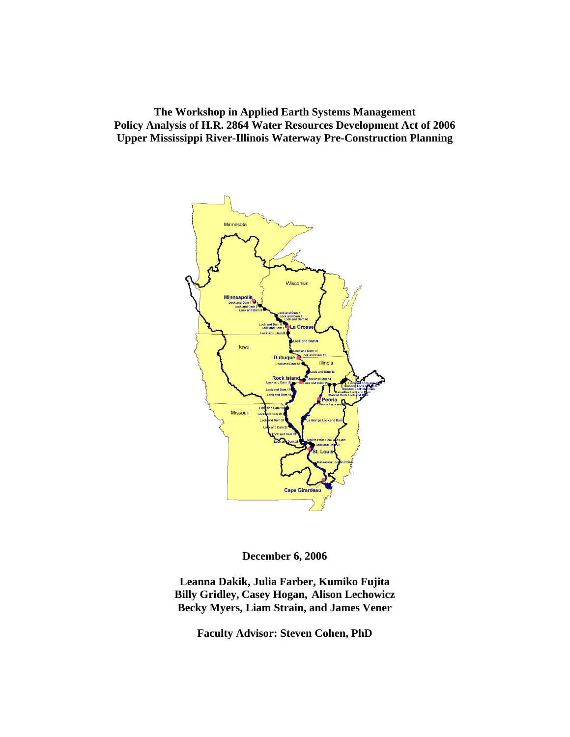**The Workshop in Applied Earth Systems Management Policy Analysis of H.R. 2864 Water Resources Development Act of 2006 Upper Mississippi River-Illinois Waterway Pre-Construction Planning** 



**December 6, 2006** 

**Leanna Dakik, Julia Farber, Kumiko Fujita Billy Gridley, Casey Hogan, Alison Lechowicz Becky Myers, Liam Strain, and James Vener** 

**Faculty Advisor: Steven Cohen, PhD**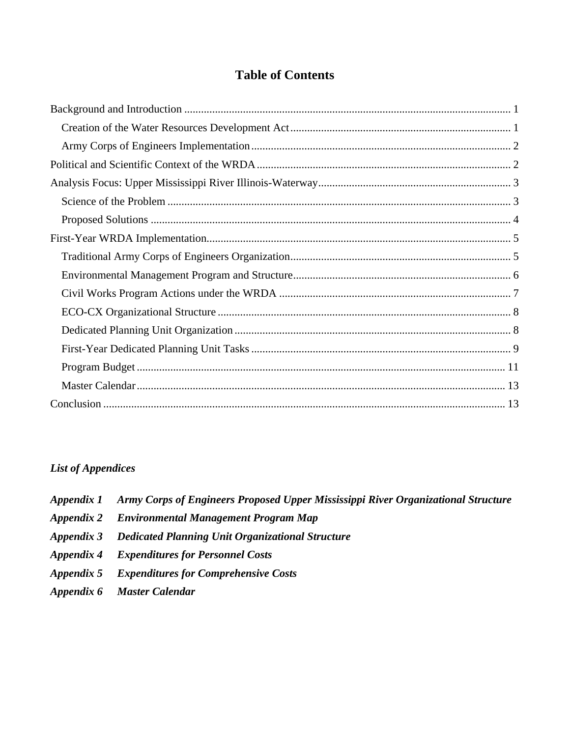# **Table of Contents**

# *List of Appendices*

- *Appendix 1 Army Corps of Engineers Proposed Upper Mississippi River Organizational Structure*
- *Appendix 2 Environmental Management Program Map*
- *Appendix 3 Dedicated Planning Unit Organizational Structure*
- *Appendix 4 Expenditures for Personnel Costs*
- *Appendix 5 Expenditures for Comprehensive Costs*
- *Appendix 6 Master Calendar*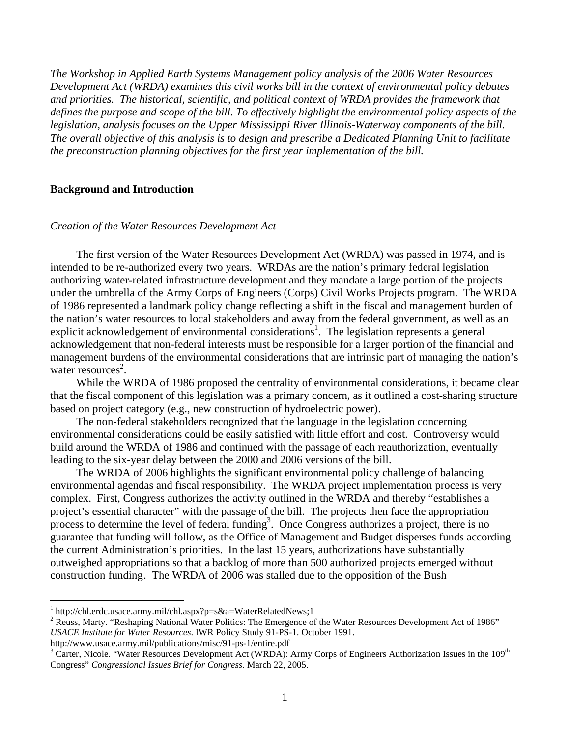<span id="page-2-0"></span>*The Workshop in Applied Earth Systems Management policy analysis of the 2006 Water Resources Development Act (WRDA) examines this civil works bill in the context of environmental policy debates and priorities. The historical, scientific, and political context of WRDA provides the framework that defines the purpose and scope of the bill. To effectively highlight the environmental policy aspects of the legislation, analysis focuses on the Upper Mississippi River Illinois-Waterway components of the bill. The overall objective of this analysis is to design and prescribe a Dedicated Planning Unit to facilitate the preconstruction planning objectives for the first year implementation of the bill.* 

### **Background and Introduction**

### *Creation of the Water Resources Development Act*

The first version of the Water Resources Development Act (WRDA) was passed in 1974, and is intended to be re-authorized every two years. WRDAs are the nation's primary federal legislation authorizing water-related infrastructure development and they mandate a large portion of the projects under the umbrella of the Army Corps of Engineers (Corps) Civil Works Projects program. The WRDA of 1986 represented a landmark policy change reflecting a shift in the fiscal and management burden of the nation's water resources to local stakeholders and away from the federal government, as well as an explicit acknowledgement of environmental considerations<sup>1</sup>[.](#page-2-3) The legislation represents a general acknowledgement that non-federal interests must be responsible for a larger portion of the financial and management burdens of the environmental considerations that are intrinsic part of managing the nation's water resources<sup>2</sup>.

<span id="page-2-1"></span>While the WRDA of 1986 proposed the centrality of environmental considerations, it became clear that the fiscal component of this legislation was a primary concern, as it outlined a cost-sharing structure based on project category (e.g., new construction of hydroelectric power[\).](#page-2-1) 

The non-federal stakeholders recognized that the language in the legislation concerning environmental considerations could be easily satisfied with little effort and cost. Controversy would build around the WRDA of 1986 and continued with the passage of each reauthorization, eventually leading to the six-year delay between the 2000 and 2006 versions of the bill.

<span id="page-2-2"></span>The WRDA of 2006 highlights the significant environmental policy challenge of balancing environmental agendas and fiscal responsibility. The WRDA project implementation process is very complex. First, Congress authorizes the activity outlined in the WRDA and thereby "establishes a project's essential character" with the passage of the bill. The projects then face the appropriation process to determine the level of federal funding<sup>3</sup>. Once Congress authorizes a project, there is no guarantee that funding will follow, as the Office of Management and Budget disperses funds according the current Administration's priorities. In the last 15 years, authorizations have substantially outweighed appropriations so that a backlog of more than 500 authorized projects emerged without construction fundin[g.](#page-2-2) The WRDA of 2006 was stalled due to the opposition of the Bush

http://www.usace.army.mil/publications/misc/91-ps-1/entire.pdf <sup>3</sup>

<span id="page-2-3"></span><sup>&</sup>lt;sup>1</sup> http://chl.erdc.usace.army.mil/chl.aspx?p=s&a=WaterRelatedNews;1<br><sup>2</sup> Bouss, Marty, "Beshaping National Water Politics: The Emergence of

<span id="page-2-4"></span><sup>&</sup>lt;sup>2</sup> Reuss, Marty. "Reshaping National Water Politics: The Emergence of the Water Resources Development Act of 1986" *USACE Institute for Water Resources*. IWR Policy Study 91-PS-1. October 1991.

<span id="page-2-5"></span><sup>&</sup>lt;sup>3</sup> Carter, Nicole. "Water Resources Development Act (WRDA): Army Corps of Engineers Authorization Issues in the 109<sup>th</sup> Congress" *Congressional Issues Brief for Congress.* March 22, 2005.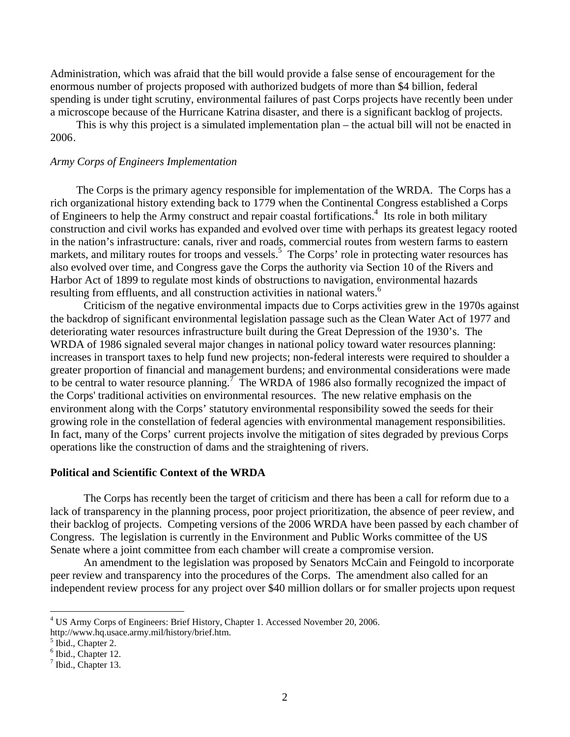<span id="page-3-0"></span>Administration, which was afraid that the bill would provide a false sense of encouragement for the enormous number of projects proposed with authorized budgets of more than \$4 billion, federal spending is under tight scrutiny, environmental failures of past Corps projects have recently been under a microscope because of the Hurricane Katrina disaster, and there is a significant backlog of projects.

This is why this project is a simulated implementation plan – the actual bill will not be enacted in 2006[.](#page-2-2) 

#### *Army Corps of Engineers Implementation*

The Corps is the primary agency responsible for implementation of the WRDA. The Corps has a rich organizational history extending back to 1779 when the Continental Congress established a Corps of Engineers to help the Army construct and repair coastal fortifications.<sup>[4](#page-3-1)</sup> Its role in both military construction and civil works has expanded and evolved over time with perhaps its greatest legacy rooted in the nation's infrastructure: canals, river and roads, commercial routes from western farms to eastern markets, and military routes for troops and vessels.<sup>[5](#page-3-2)</sup> The Corps' role in protecting water resources has also evolved over time, and Congress gave the Corps the authority via Section 10 of the Rivers and Harbor Act of 1899 to regulate most kinds of obstructions to navigation, environmental hazards resulting from effluents, and all construction activities in national waters.<sup>[6](#page-3-3)</sup>

Criticism of the negative environmental impacts due to Corps activities grew in the 1970s against the backdrop of significant environmental legislation passage such as the Clean Water Act of 1977 and deteriorating water resources infrastructure built during the Great Depression of the 1930's. The WRDA of 1986 signaled several major changes in national policy toward water resources planning: increases in transport taxes to help fund new projects; non-federal interests were required to shoulder a greater proportion of financial and management burdens; and environmental considerations were made to be central to water resource planning.<sup> $\bar{7}$  $\bar{7}$  $\bar{7}$ </sup> The WRDA of 1986 also formally recognized the impact of the Corps' traditional activities on environmental resources. The new relative emphasis on the environment along with the Corps' statutory environmental responsibility sowed the seeds for their growing role in the constellation of federal agencies with environmental management responsibilities. In fact, many of the Corps' current projects involve the mitigation of sites degraded by previous Corps operations like the construction of dams and the straightening of rivers.

# **Political and Scientific Context of the WRDA**

The Corps has recently been the target of criticism and there has been a call for reform due to a lack of transparency in the planning process, poor project prioritization, the absence of peer review, and their backlog of projects. Competing versions of the 2006 WRDA have been passed by each chamber of Congress. The legislation is currently in the Environment and Public Works committee of the US Senate where a joint committee from each chamber will create a compromise version.

An amendment to the legislation was proposed by Senators McCain and Feingold to incorporate peer review and transparency into the procedures of the Corps. The amendment also called for an independent review process for any project over \$40 million dollars or for smaller projects upon request

1

<span id="page-3-1"></span><sup>&</sup>lt;sup>4</sup> US Army Corps of Engineers: Brief History, Chapter 1. Accessed November 20, 2006.

http://www.hq.usace.army.mil/history/brief.htm. 5

<span id="page-3-2"></span> $<sup>5</sup>$  Ibid., Chapter 2.</sup>

<span id="page-3-3"></span> $<sup>6</sup>$  Ibid., Chapter 12.</sup>

<span id="page-3-4"></span> $<sup>7</sup>$  Ibid., Chapter 13.</sup>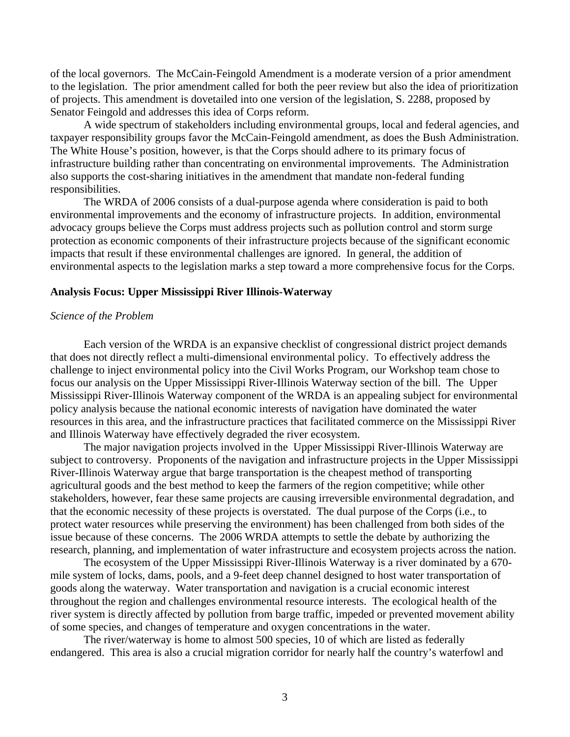<span id="page-4-0"></span>of the local governors. The McCain-Feingold Amendment is a moderate version of a prior amendment to the legislation. The prior amendment called for both the peer review but also the idea of prioritization of projects. This amendment is dovetailed into one version of the legislation, S. 2288, proposed by Senator Feingold and addresses this idea of Corps reform.

A wide spectrum of stakeholders including environmental groups, local and federal agencies, and taxpayer responsibility groups favor the McCain-Feingold amendment, as does the Bush Administration. The White House's position, however, is that the Corps should adhere to its primary focus of infrastructure building rather than concentrating on environmental improvements. The Administration also supports the cost-sharing initiatives in the amendment that mandate non-federal funding responsibilities.

The WRDA of 2006 consists of a dual-purpose agenda where consideration is paid to both environmental improvements and the economy of infrastructure projects. In addition, environmental advocacy groups believe the Corps must address projects such as pollution control and storm surge protection as economic components of their infrastructure projects because of the significant economic impacts that result if these environmental challenges are ignored. In general, the addition of environmental aspects to the legislation marks a step toward a more comprehensive focus for the Corps.

#### **Analysis Focus: Upper Mississippi River Illinois-Waterway**

#### *Science of the Problem*

Each version of the WRDA is an expansive checklist of congressional district project demands that does not directly reflect a multi-dimensional environmental policy. To effectively address the challenge to inject environmental policy into the Civil Works Program, our Workshop team chose to focus our analysis on the Upper Mississippi River-Illinois Waterway section of the bill. The Upper Mississippi River-Illinois Waterway component of the WRDA is an appealing subject for environmental policy analysis because the national economic interests of navigation have dominated the water resources in this area, and the infrastructure practices that facilitated commerce on the Mississippi River and Illinois Waterway have effectively degraded the river ecosystem.

The major navigation projects involved in the Upper Mississippi River-Illinois Waterway are subject to controversy. Proponents of the navigation and infrastructure projects in the Upper Mississippi River-Illinois Waterway argue that barge transportation is the cheapest method of transporting agricultural goods and the best method to keep the farmers of the region competitive; while other stakeholders, however, fear these same projects are causing irreversible environmental degradation, and that the economic necessity of these projects is overstated. The dual purpose of the Corps (i.e., to protect water resources while preserving the environment) has been challenged from both sides of the issue because of these concerns. The 2006 WRDA attempts to settle the debate by authorizing the research, planning, and implementation of water infrastructure and ecosystem projects across the nation.

The ecosystem of the Upper Mississippi River-Illinois Waterway is a river dominated by a 670 mile system of locks, dams, pools, and a 9-feet deep channel designed to host water transportation of goods along the waterway. Water transportation and navigation is a crucial economic interest throughout the region and challenges environmental resource interests. The ecological health of the river system is directly affected by pollution from barge traffic, impeded or prevented movement ability of some species, and changes of temperature and oxygen concentrations in the water.

The river/waterway is home to almost 500 species, 10 of which are listed as federally endangered. This area is also a crucial migration corridor for nearly half the country's waterfowl and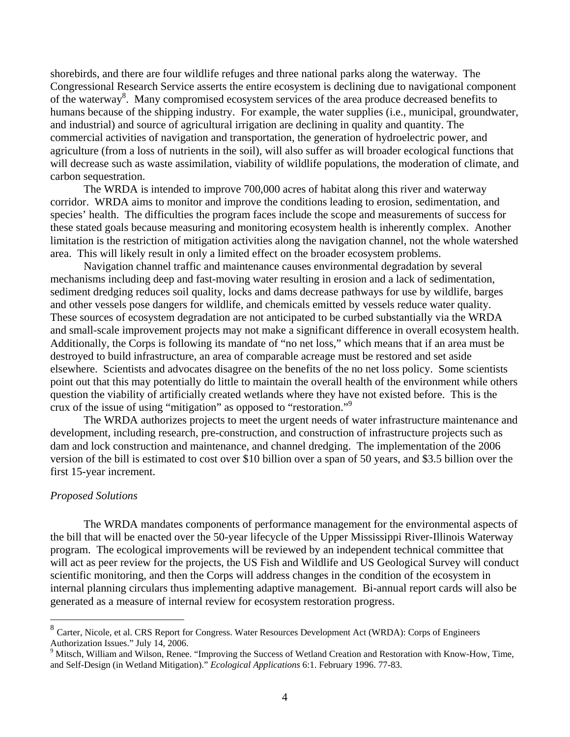<span id="page-5-0"></span>shorebirds, and there are four wildlife refuges and three national parks along the waterway. The Congressional Research Service asserts the entire ecosystem is declining due to navigational component of the waterway<sup>8</sup>. Many compromised ecosystem services of the area produce decreased benefits to humans because of the shipping industry. For example, the water supplies (i.e., municipal, groundwater, and industrial) and source of agricultural irrigation are declining in quality and quantity. The commercial activities of navigation and transportation, the generation of hydroelectric power, and agriculture (from a loss of nutrients in the soil), will also suffer as will broader ecological functions that will decrease such as waste assimilation, viability of wildlife populations, the moderation of climate, and carbon sequestration.

The WRDA is intended to improve 700,000 acres of habitat along this river and waterway corridor. WRDA aims to monitor and improve the conditions leading to erosion, sedimentation, and species' health. The difficulties the program faces include the scope and measurements of success for these stated goals because measuring and monitoring ecosystem health is inherently complex. Another limitation is the restriction of mitigation activities along the navigation channel, not the whole watershed area. This will likely result in only a limited effect on the broader ecosystem problems.

Navigation channel traffic and maintenance causes environmental degradation by several mechanisms including deep and fast-moving water resulting in erosion and a lack of sedimentation, sediment dredging reduces soil quality, locks and dams decrease pathways for use by wildlife, barges and other vessels pose dangers for wildlife, and chemicals emitted by vessels reduce water quality. These sources of ecosystem degradation are not anticipated to be curbed substantially via the WRDA and small-scale improvement projects may not make a significant difference in overall ecosystem health. Additionally, the Corps is following its mandate of "no net loss," which means that if an area must be destroyed to build infrastructure, an area of comparable acreage must be restored and set aside elsewhere. Scientists and advocates disagree on the benefits of the no net loss policy. Some scientists point out that this may potentially do little to maintain the overall health of the environment while others question the viability of artificially created wetlands where they have not existed before. This is the crux of the issue of using "mitigation" as opposed to "restoration.["9](#page-5-2)

The WRDA authorizes projects to meet the urgent needs of water infrastructure maintenance and development, including research, pre-construction, and construction of infrastructure projects such as dam and lock construction and maintenance, and channel dredging. The implementation of the 2006 version of the bill is estimated to cost over \$10 billion over a span of 50 years, and \$3.5 billion over the first 15-year increment.

#### *Proposed Solutions*

 $\overline{a}$ 

The WRDA mandates components of performance management for the environmental aspects of the bill that will be enacted over the 50-year lifecycle of the Upper Mississippi River-Illinois Waterway program. The ecological improvements will be reviewed by an independent technical committee that will act as peer review for the projects, the US Fish and Wildlife and US Geological Survey will conduct scientific monitoring, and then the Corps will address changes in the condition of the ecosystem in internal planning circulars thus implementing adaptive management. Bi-annual report cards will also be generated as a measure of internal review for ecosystem restoration progress.

<span id="page-5-1"></span><sup>&</sup>lt;sup>8</sup> Carter, Nicole, et al. CRS Report for Congress. Water Resources Development Act (WRDA): Corps of Engineers Authorization Issues." July 14, 2006.

<span id="page-5-2"></span><sup>&</sup>lt;sup>9</sup> Mitsch, William and Wilson, Renee. "Improving the Success of Wetland Creation and Restoration with Know-How, Time, and Self-Design (in Wetland Mitigation)." *Ecological Applications* 6:1. February 1996. 77-83.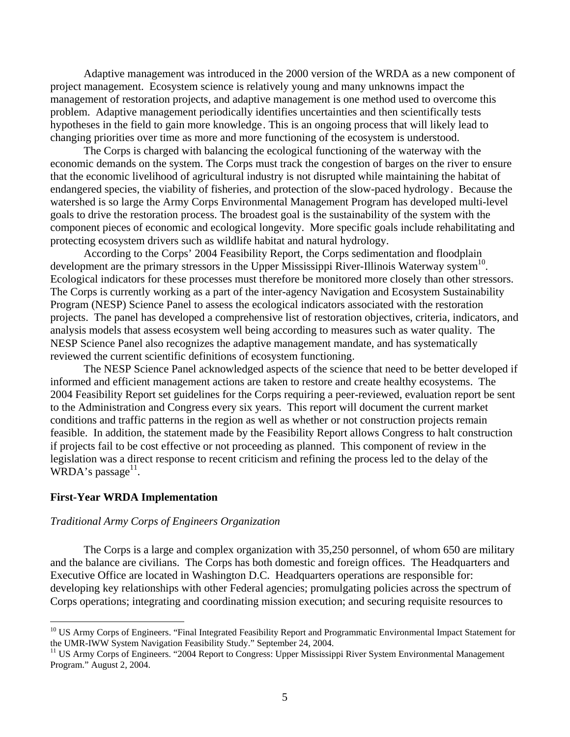<span id="page-6-0"></span>Adaptive management was introduced in the 2000 version of the WRDA as a new component of project management. Ecosystem science is relatively young and many unknowns impact the management of restoration projects, and adaptive management is one method used to overcome this problem. Adaptive management periodically identifies uncertainties and then scientifically tests hypotheses in the field to gain more knowledg[e. T](#page-6-1)his is an ongoing process that will likely lead to changing priorities over time as more and more functioning of the ecosystem is understood.

The Corps is charged with balancing the ecological functioning of the waterway with the economic demands on the system. The Corps must track the congestion of barges on the river to ensure that the economic livelihood of agricultural industry is not disrupted while maintaining the habitat of endangered species, the viability of fisheries, and protection of the slow-paced hydrolog[y. B](#page-6-1)ecause the watershed is so large the Army Corps Environmental Management Program has developed multi-level goals to drive the restoration process. The broadest goal is the sustainability of the system with the component pieces of economic and ecological longevity. More specific goals include rehabilitating and protecting ecosystem drivers such as wildlife habitat and natural hydrology.

<span id="page-6-1"></span>According to the Corps' 2004 Feasibility Report, the Corps sedimentation and floodplain development are the primary stressors in the Upper Mississippi River-Illinois Waterway system<sup>10</sup>. Ecological indicators for these processes must therefore be monitored more closely than other stressors. The Corps is currently working as a part of the inter-agency Navigation and Ecosystem Sustainability Program (NESP) Science Panel to assess the ecological indicators associated with the restoration projects. The panel has developed a comprehensive list of restoration objectives, criteria, indicators, and analysis models that assess ecosystem well being according to measures such as water quality. The NESP Science Panel also recognizes the adaptive management mandate, and has systematically reviewed the current scientific definitions of ecosystem functioning.

The NESP Science Panel acknowledged aspects of the science that need to be better developed if informed and efficient management actions are taken to restore and create healthy ecosystems. The 2004 Feasibility Report set guidelines for the Corps requiring a peer-reviewed, evaluation report be sent to the Administration and Congress every six years. This report will document the current market conditions and traffic patterns in the region as well as whether or not construction projects remain feasible. In addition, the statement made by the Feasibility Report allows Congress to halt construction if projects fail to be cost effective or not proceeding as planned. This component of review in the legislation was a direct response to recent criticism and refining the process led to the delay of the WRDA's passage $^{11}$ .

## **First-Year WRDA Implementation**

<u>.</u>

## *Traditional Army Corps of Engineers Organization*

The Corps is a large and complex organization with 35,250 personnel, of whom 650 are military and the balance are civilians. The Corps has both domestic and foreign offices. The Headquarters and Executive Office are located in Washington D.C. Headquarters operations are responsible for: developing key relationships with other Federal agencies; promulgating policies across the spectrum of Corps operations; integrating and coordinating mission execution; and securing requisite resources to

<span id="page-6-2"></span><sup>&</sup>lt;sup>10</sup> US Army Corps of Engineers. "Final Integrated Feasibility Report and Programmatic Environmental Impact Statement for the UMR-IWW System Navigation Feasibility Study." September 24, 2004.

<span id="page-6-3"></span><sup>&</sup>lt;sup>11</sup> US Army Corps of Engineers. "2004 Report to Congress: Upper Mississippi River System Environmental Management Program." August 2, 2004.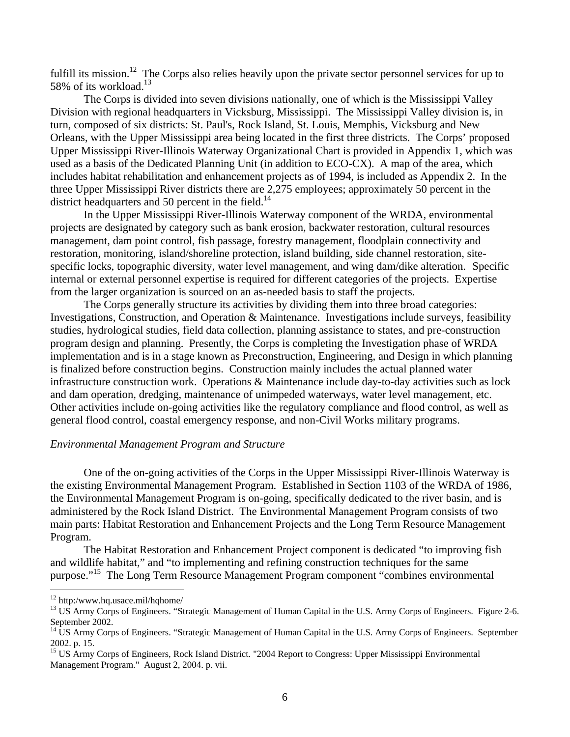<span id="page-7-0"></span>fulfill its mission.<sup>12</sup> The Corps also relies heavily upon the private sector personnel services for up to 58% of its workload.<sup>[13](#page-7-2)</sup>

The Corps is divided into seven divisions nationally, one of which is the Mississippi Valley Division with regional headquarters in Vicksburg, Mississippi. The Mississippi Valley division is, in turn, composed of six districts: St. Paul's, Rock Island, St. Louis, Memphis, Vicksburg and New Orleans, with the Upper Mississippi area being located in the first three districts. The Corps' proposed Upper Mississippi River-Illinois Waterway Organizational Chart is provided in Appendix 1, which was used as a basis of the Dedicated Planning Unit (in addition to ECO-CX). A map of the area, which includes habitat rehabilitation and enhancement projects as of 1994, is included as Appendix 2. In the three Upper Mississippi River districts there are 2,275 employees; approximately 50 percent in the district headquarters and 50 percent in the field.<sup>[14](#page-7-3)</sup>

In the Upper Mississippi River-Illinois Waterway component of the WRDA, environmental projects are designated by category such as bank erosion, backwater restoration, cultural resources management, dam point control, fish passage, forestry management, floodplain connectivity and restoration, monitoring, island/shoreline protection, island building, side channel restoration, sitespecific locks, topographic diversity, water level management, and wing dam/dike alteration[. S](#page-6-1)pecific internal or external personnel expertise is required for different categories of the projects. Expertise from the larger organization is sourced on an as-needed basis to staff the projects.

The Corps generally structure its activities by dividing them into three broad categories: Investigations, Construction, and Operation & Maintenance. Investigations include surveys, feasibility studies, hydrological studies, field data collection, planning assistance to states, and pre-construction program design and planning. Presently, the Corps is completing the Investigation phase of WRDA implementation and is in a stage known as Preconstruction, Engineering, and Design in which planning is finalized before construction begins. Construction mainly includes the actual planned water infrastructure construction work. Operations & Maintenance include day-to-day activities such as lock and dam operation, dredging, maintenance of unimpeded waterways, water level management, etc. Other activities include on-going activities like the regulatory compliance and flood control, as well as general flood control, coastal emergency response, and non-Civil Works military programs.

#### *Environmental Management Program and Structure*

One of the on-going activities of the Corps in the Upper Mississippi River-Illinois Waterway is the existing Environmental Management Program. Established in Section 1103 of the WRDA of 1986, the Environmental Management Program is on-going, specifically dedicated to the river basin, and is administered by the Rock Island District. The Environmental Management Program consists of two main parts: Habitat Restoration and Enhancement Projects and the Long Term Resource Management Program.

The Habitat Restoration and Enhancement Project component is dedicated "to improving fish and wildlife habitat," and "to implementing and refining construction techniques for the same purpose."[15](#page-7-4) The Long Term Resource Management Program component "combines environmental

<span id="page-7-1"></span><sup>&</sup>lt;sup>12</sup> http:/www.hq.usace.mil/hqhome/

<span id="page-7-2"></span><sup>&</sup>lt;sup>13</sup> US Army Corps of Engineers. "Strategic Management of Human Capital in the U.S. Army Corps of Engineers. Figure 2-6. September 2002.<br><sup>14</sup> US Army Corps of Engineers. "Strategic Management of Human Capital in the U.S. Army Corps of Engineers. September

<span id="page-7-3"></span><sup>2002.</sup> p. 15.<br><sup>15</sup> US Army Corps of Engineers, Rock Island District. "2004 Report to Congress: Upper Mississippi Environmental

<span id="page-7-4"></span>Management Program." August 2, 2004. p. vii.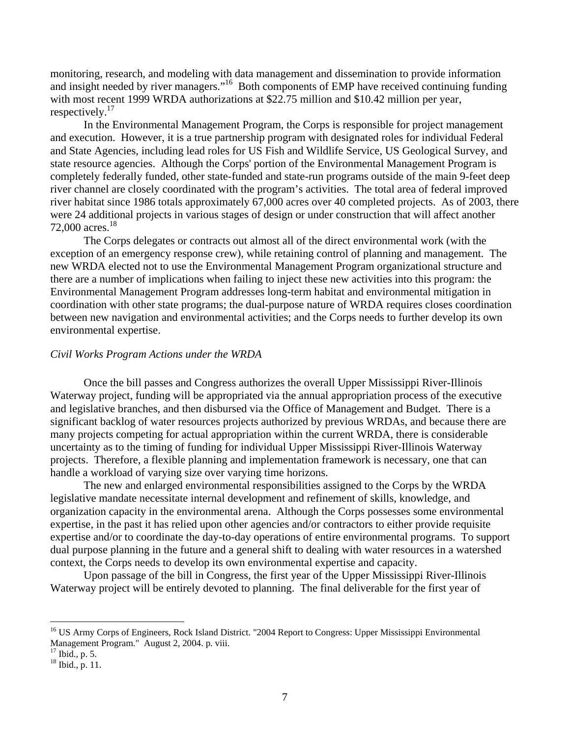<span id="page-8-0"></span>monitoring, research, and modeling with data management and dissemination to provide information and insight needed by river managers."<sup>16</sup> Both components of EMP have received continuing funding with most recent 1999 WRDA authorizations at \$22.75 million and \$10.42 million per year, respectively.<sup>[17](#page-8-2)</sup>

In the Environmental Management Program, the Corps is responsible for project management and execution. However, it is a true partnership program with designated roles for individual Federal and State Agencies, including lead roles for US Fish and Wildlife Service, US Geological Survey, and state resource agencies. Although the Corps' portion of the Environmental Management Program is completely federally funded, other state-funded and state-run programs outside of the main 9-feet deep river channel are closely coordinated with the program's activities. The total area of federal improved river habitat since 1986 totals approximately 67,000 acres over 40 completed projects. As of 2003, there were 24 additional projects in various stages of design or under construction that will affect another 72,000 acres.<sup>[18](#page-8-3)</sup>

The Corps delegates or contracts out almost all of the direct environmental work (with the exception of an emergency response crew), while retaining control of planning and management. The new WRDA elected not to use the Environmental Management Program organizational structure and there are a number of implications when failing to inject these new activities into this program: the Environmental Management Program addresses long-term habitat and environmental mitigation in coordination with other state programs; the dual-purpose nature of WRDA requires closes coordination between new navigation and environmental activities; and the Corps needs to further develop its own environmental expertise.

### *Civil Works Program Actions under the WRDA*

Once the bill passes and Congress authorizes the overall Upper Mississippi River-Illinois Waterway project, funding will be appropriated via the annual appropriation process of the executive and legislative branches, and then disbursed via the Office of Management and Budget. There is a significant backlog of water resources projects authorized by previous WRDAs, and because there are many projects competing for actual appropriation within the current WRDA, there is considerable uncertainty as to the timing of funding for individual Upper Mississippi River-Illinois Waterway projects. Therefore, a flexible planning and implementation framework is necessary, one that can handle a workload of varying size over varying time horizons.

The new and enlarged environmental responsibilities assigned to the Corps by the WRDA legislative mandate necessitate internal development and refinement of skills, knowledge, and organization capacity in the environmental arena. Although the Corps possesses some environmental expertise, in the past it has relied upon other agencies and/or contractors to either provide requisite expertise and/or to coordinate the day-to-day operations of entire environmental programs. To support dual purpose planning in the future and a general shift to dealing with water resources in a watershed context, the Corps needs to develop its own environmental expertise and capacity.

Upon passage of the bill in Congress, the first year of the Upper Mississippi River-Illinois Waterway project will be entirely devoted to planning. The final deliverable for the first year of

<span id="page-8-1"></span><sup>&</sup>lt;sup>16</sup> US Army Corps of Engineers, Rock Island District. "2004 Report to Congress: Upper Mississippi Environmental Management Program." August 2, 2004. p. viii.<br><sup>17</sup> Ibid., p. 5.<br><sup>18</sup> Ibid., p. 11.

<span id="page-8-2"></span>

<span id="page-8-3"></span>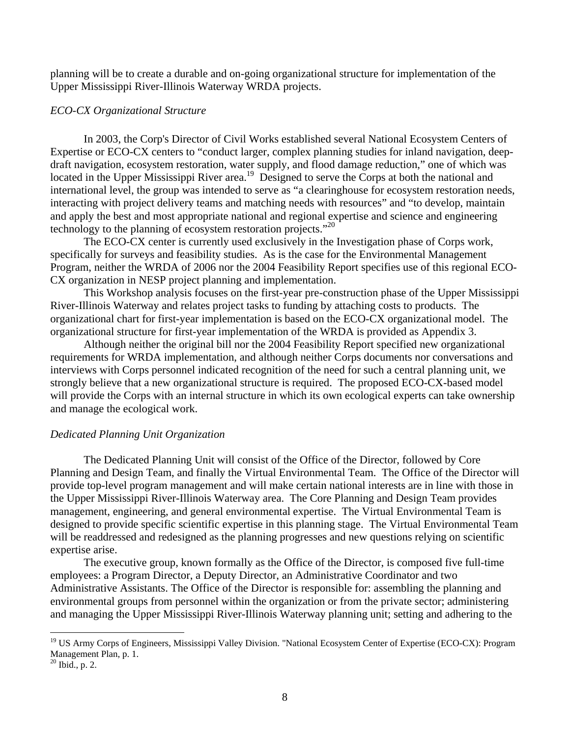<span id="page-9-0"></span>planning will be to create a durable and on-going organizational structure for implementation of the Upper Mississippi River-Illinois Waterway WRDA projects.

#### *ECO-CX Organizational Structure*

In 2003, the Corp's Director of Civil Works established several National Ecosystem Centers of Expertise or ECO-CX centers to "conduct larger, complex planning studies for inland navigation, deepdraft navigation, ecosystem restoration, water supply, and flood damage reduction," one of which was located in the Upper Mississippi River area.<sup>19</sup> Designed to serve the Corps at both the national and international level, the group was intended to serve as "a clearinghouse for ecosystem restoration needs, interacting with project delivery teams and matching needs with resources" and "to develop, maintain and apply the best and most appropriate national and regional expertise and science and engineering technology to the planning of ecosystem restoration projects. $"^{20}$  $"^{20}$  $"^{20}$ 

The ECO-CX center is currently used exclusively in the Investigation phase of Corps work, specifically for surveys and feasibility studies. As is the case for the Environmental Management Program, neither the WRDA of 2006 nor the 2004 Feasibility Report specifies use of this regional ECO-CX organization in NESP project planning and implementation.

This Workshop analysis focuses on the first-year pre-construction phase of the Upper Mississippi River-Illinois Waterway and relates project tasks to funding by attaching costs to products. The organizational chart for first-year implementation is based on the ECO-CX organizational model. The organizational structure for first-year implementation of the WRDA is provided as Appendix 3.

Although neither the original bill nor the 2004 Feasibility Report specified new organizational requirements for WRDA implementation, and although neither Corps documents nor conversations and interviews with Corps personnel indicated recognition of the need for such a central planning unit, we strongly believe that a new organizational structure is required. The proposed ECO-CX-based model will provide the Corps with an internal structure in which its own ecological experts can take ownership and manage the ecological work.

# *Dedicated Planning Unit Organization*

The Dedicated Planning Unit will consist of the Office of the Director, followed by Core Planning and Design Team, and finally the Virtual Environmental Team. The Office of the Director will provide top-level program management and will make certain national interests are in line with those in the Upper Mississippi River-Illinois Waterway area. The Core Planning and Design Team provides management, engineering, and general environmental expertise. The Virtual Environmental Team is designed to provide specific scientific expertise in this planning stage. The Virtual Environmental Team will be readdressed and redesigned as the planning progresses and new questions relying on scientific expertise arise.

The executive group, known formally as the Office of the Director, is composed five full-time employees: a Program Director, a Deputy Director, an Administrative Coordinator and two Administrative Assistants. The Office of the Director is responsible for: assembling the planning and environmental groups from personnel within the organization or from the private sector; administering and managing the Upper Mississippi River-Illinois Waterway planning unit; setting and adhering to the

<span id="page-9-1"></span><sup>&</sup>lt;sup>19</sup> US Army Corps of Engineers, Mississippi Valley Division. "National Ecosystem Center of Expertise (ECO-CX): Program Management Plan, p. 1.<br><sup>20</sup> Ibid., p. 2.

<span id="page-9-2"></span>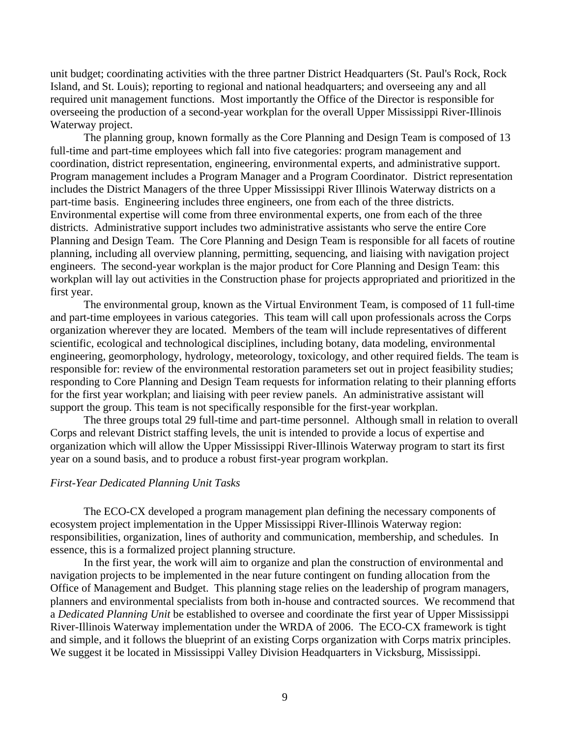<span id="page-10-0"></span>unit budget; coordinating activities with the three partner District Headquarters (St. Paul's Rock, Rock Island, and St. Louis); reporting to regional and national headquarters; and overseeing any and all required unit management functions. Most importantly the Office of the Director is responsible for overseeing the production of a second-year workplan for the overall Upper Mississippi River-Illinois Waterway project.

The planning group, known formally as the Core Planning and Design Team is composed of 13 full-time and part-time employees which fall into five categories: program management and coordination, district representation, engineering, environmental experts, and administrative support. Program management includes a Program Manager and a Program Coordinator. District representation includes the District Managers of the three Upper Mississippi River Illinois Waterway districts on a part-time basis. Engineering includes three engineers, one from each of the three districts. Environmental expertise will come from three environmental experts, one from each of the three districts. Administrative support includes two administrative assistants who serve the entire Core Planning and Design Team. The Core Planning and Design Team is responsible for all facets of routine planning, including all overview planning, permitting, sequencing, and liaising with navigation project engineers. The second-year workplan is the major product for Core Planning and Design Team: this workplan will lay out activities in the Construction phase for projects appropriated and prioritized in the first year.

The environmental group, known as the Virtual Environment Team, is composed of 11 full-time and part-time employees in various categories. This team will call upon professionals across the Corps organization wherever they are located. Members of the team will include representatives of different scientific, ecological and technological disciplines, including botany, data modeling, environmental engineering, geomorphology, hydrology, meteorology, toxicology, and other required fields. The team is responsible for: review of the environmental restoration parameters set out in project feasibility studies; responding to Core Planning and Design Team requests for information relating to their planning efforts for the first year workplan; and liaising with peer review panels. An administrative assistant will support the group. This team is not specifically responsible for the first-year workplan.

The three groups total 29 full-time and part-time personnel. Although small in relation to overall Corps and relevant District staffing levels, the unit is intended to provide a locus of expertise and organization which will allow the Upper Mississippi River-Illinois Waterway program to start its first year on a sound basis, and to produce a robust first-year program workplan.

### *First-Year Dedicated Planning Unit Tasks*

The ECO-CX developed a program management plan defining the necessary components of ecosystem project implementation in the Upper Mississippi River-Illinois Waterway region: responsibilities, organization, lines of authority and communication, membership, and schedules. In essence, this is a formalized project planning structure.

In the first year, the work will aim to organize and plan the construction of environmental and navigation projects to be implemented in the near future contingent on funding allocation from the Office of Management and Budget. This planning stage relies on the leadership of program managers, planners and environmental specialists from both in-house and contracted sources. We recommend that a *Dedicated Planning Unit* be established to oversee and coordinate the first year of Upper Mississippi River-Illinois Waterway implementation under the WRDA of 2006. The ECO-CX framework is tight and simple, and it follows the blueprint of an existing Corps organization with Corps matrix principles. We suggest it be located in Mississippi Valley Division Headquarters in Vicksburg, Mississippi.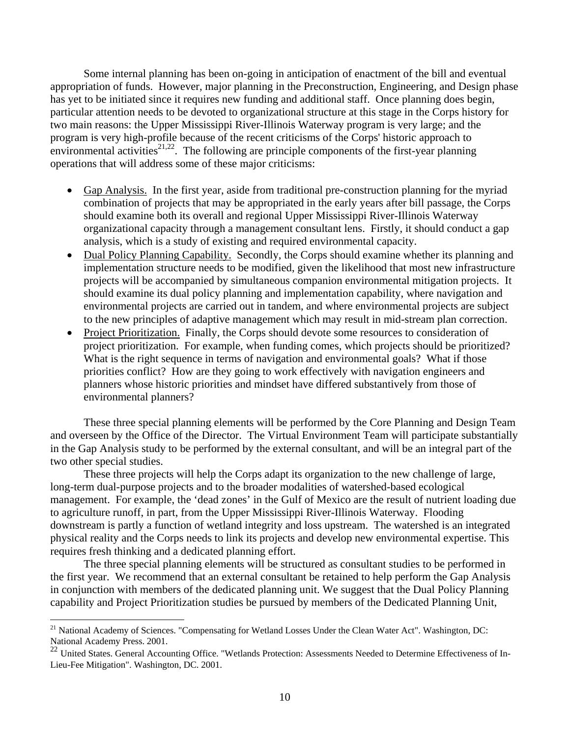Some internal planning has been on-going in anticipation of enactment of the bill and eventual appropriation of funds. However, major planning in the Preconstruction, Engineering, and Design phase has yet to be initiated since it requires new funding and additional staff. Once planning does begin, particular attention needs to be devoted to organizational structure at this stage in the Corps history for two main reasons: the Upper Mississippi River-Illinois Waterway program is very large; and the program is very high-profile because of the recent criticisms of the Corps' historic approach to environmental activities<sup>[21,](#page-11-0)22</sup>. The following are principle components of the first-year planning operations that will address some of these major criticisms:

- Gap Analysis. In the first year, aside from traditional pre-construction planning for the myriad combination of projects that may be appropriated in the early years after bill passage, the Corps should examine both its overall and regional Upper Mississippi River-Illinois Waterway organizational capacity through a management consultant lens. Firstly, it should conduct a gap analysis, which is a study of existing and required environmental capacity.
- Dual Policy Planning Capability. Secondly, the Corps should examine whether its planning and implementation structure needs to be modified, given the likelihood that most new infrastructure projects will be accompanied by simultaneous companion environmental mitigation projects. It should examine its dual policy planning and implementation capability, where navigation and environmental projects are carried out in tandem, and where environmental projects are subject to the new principles of adaptive management which may result in mid-stream plan correction.
- Project Prioritization. Finally, the Corps should devote some resources to consideration of project prioritization. For example, when funding comes, which projects should be prioritized? What is the right sequence in terms of navigation and environmental goals? What if those priorities conflict? How are they going to work effectively with navigation engineers and planners whose historic priorities and mindset have differed substantively from those of environmental planners?

These three special planning elements will be performed by the Core Planning and Design Team and overseen by the Office of the Director. The Virtual Environment Team will participate substantially in the Gap Analysis study to be performed by the external consultant, and will be an integral part of the two other special studies.

These three projects will help the Corps adapt its organization to the new challenge of large, long-term dual-purpose projects and to the broader modalities of watershed-based ecological management. For example, the 'dead zones' in the Gulf of Mexico are the result of nutrient loading due to agriculture runoff, in part, from the Upper Mississippi River-Illinois Waterway. Flooding downstream is partly a function of wetland integrity and loss upstream. The watershed is an integrated physical reality and the Corps needs to link its projects and develop new environmental expertise. This requires fresh thinking and a dedicated planning effort.

The three special planning elements will be structured as consultant studies to be performed in the first year. We recommend that an external consultant be retained to help perform the Gap Analysis in conjunction with members of the dedicated planning unit. We suggest that the Dual Policy Planning capability and Project Prioritization studies be pursued by members of the Dedicated Planning Unit,

<span id="page-11-0"></span><sup>&</sup>lt;sup>21</sup> National Academy of Sciences. "Compensating for Wetland Losses Under the Clean Water Act". Washington, DC: National Academy Press. 2001.

<span id="page-11-1"></span><sup>22</sup> United States. General Accounting Office. "Wetlands Protection: Assessments Needed to Determine Effectiveness of In-Lieu-Fee Mitigation". Washington, DC. 2001.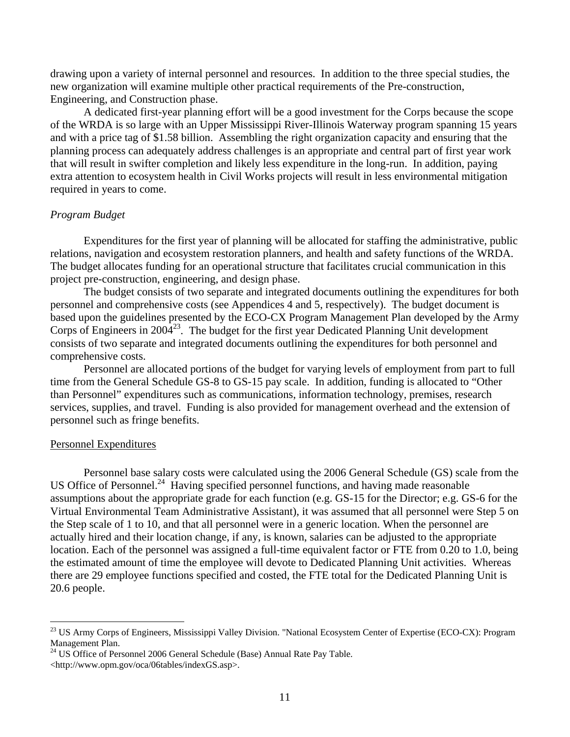<span id="page-12-0"></span>drawing upon a variety of internal personnel and resources. In addition to the three special studies, the new organization will examine multiple other practical requirements of the Pre-construction, Engineering, and Construction phase.

A dedicated first-year planning effort will be a good investment for the Corps because the scope of the WRDA is so large with an Upper Mississippi River-Illinois Waterway program spanning 15 years and with a price tag of \$1.58 billion. Assembling the right organization capacity and ensuring that the planning process can adequately address challenges is an appropriate and central part of first year work that will result in swifter completion and likely less expenditure in the long-run. In addition, paying extra attention to ecosystem health in Civil Works projects will result in less environmental mitigation required in years to come.

## *Program Budget*

Expenditures for the first year of planning will be allocated for staffing the administrative, public relations, navigation and ecosystem restoration planners, and health and safety functions of the WRDA. The budget allocates funding for an operational structure that facilitates crucial communication in this project pre-construction, engineering, and design phase.

The budget consists of two separate and integrated documents outlining the expenditures for both personnel and comprehensive costs (see Appendices 4 and 5, respectively). The budget document is based upon the guidelines presented by the ECO-CX Program Management Plan developed by the Army Corps of Engineers in 2004<sup>23</sup>. The budget for the first year Dedicated Planning Unit development consists of two separate and integrated documents outlining the expenditures for both personnel and comprehensive costs.

Personnel are allocated portions of the budget for varying levels of employment from part to full time from the General Schedule GS-8 to GS-15 pay scale. In addition, funding is allocated to "Other than Personnel" expenditures such as communications, information technology, premises, research services, supplies, and travel. Funding is also provided for management overhead and the extension of personnel such as fringe benefits.

#### Personnel Expenditures

<u>.</u>

Personnel base salary costs were calculated using the 2006 General Schedule (GS) scale from the US Office of Personnel.<sup>24</sup> Having specified personnel functions, and having made reasonable assumptions about the appropriate grade for each function (e.g. GS-15 for the Director; e.g. GS-6 for the Virtual Environmental Team Administrative Assistant), it was assumed that all personnel were Step 5 on the Step scale of 1 to 10, and that all personnel were in a generic location. When the personnel are actually hired and their location change, if any, is known, salaries can be adjusted to the appropriate location. Each of the personnel was assigned a full-time equivalent factor or FTE from 0.20 to 1.0, being the estimated amount of time the employee will devote to Dedicated Planning Unit activities. Whereas there are 29 employee functions specified and costed, the FTE total for the Dedicated Planning Unit is 20.6 people.

<span id="page-12-1"></span><sup>&</sup>lt;sup>23</sup> US Army Corps of Engineers, Mississippi Valley Division. "National Ecosystem Center of Expertise (ECO-CX): Program Management Plan.<br><sup>24</sup> US Office of Personnel 2006 General Schedule (Base) Annual Rate Pay Table.

<span id="page-12-2"></span><sup>&</sup>lt;http://www.opm.gov/oca/06tables/indexGS.asp>.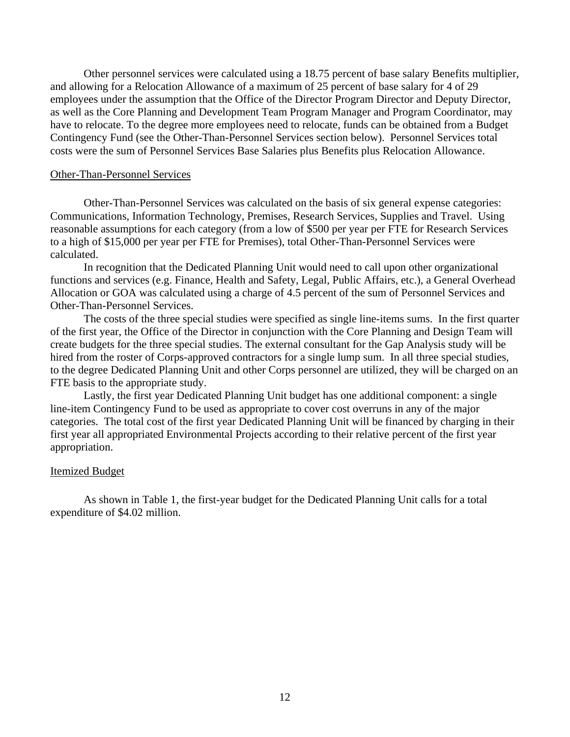Other personnel services were calculated using a 18.75 percent of base salary Benefits multiplier, and allowing for a Relocation Allowance of a maximum of 25 percent of base salary for 4 of 29 employees under the assumption that the Office of the Director Program Director and Deputy Director, as well as the Core Planning and Development Team Program Manager and Program Coordinator, may have to relocate. To the degree more employees need to relocate, funds can be obtained from a Budget Contingency Fund (see the Other-Than-Personnel Services section below). Personnel Services total costs were the sum of Personnel Services Base Salaries plus Benefits plus Relocation Allowance.

#### Other-Than-Personnel Services

Other-Than-Personnel Services was calculated on the basis of six general expense categories: Communications, Information Technology, Premises, Research Services, Supplies and Travel. Using reasonable assumptions for each category (from a low of \$500 per year per FTE for Research Services to a high of \$15,000 per year per FTE for Premises), total Other-Than-Personnel Services were calculated.

In recognition that the Dedicated Planning Unit would need to call upon other organizational functions and services (e.g. Finance, Health and Safety, Legal, Public Affairs, etc.), a General Overhead Allocation or GOA was calculated using a charge of 4.5 percent of the sum of Personnel Services and Other-Than-Personnel Services.

The costs of the three special studies were specified as single line-items sums. In the first quarter of the first year, the Office of the Director in conjunction with the Core Planning and Design Team will create budgets for the three special studies. The external consultant for the Gap Analysis study will be hired from the roster of Corps-approved contractors for a single lump sum. In all three special studies, to the degree Dedicated Planning Unit and other Corps personnel are utilized, they will be charged on an FTE basis to the appropriate study.

Lastly, the first year Dedicated Planning Unit budget has one additional component: a single line-item Contingency Fund to be used as appropriate to cover cost overruns in any of the major categories. The total cost of the first year Dedicated Planning Unit will be financed by charging in their first year all appropriated Environmental Projects according to their relative percent of the first year appropriation.

#### Itemized Budget

As shown in Table 1, the first-year budget for the Dedicated Planning Unit calls for a total expenditure of \$4.02 million.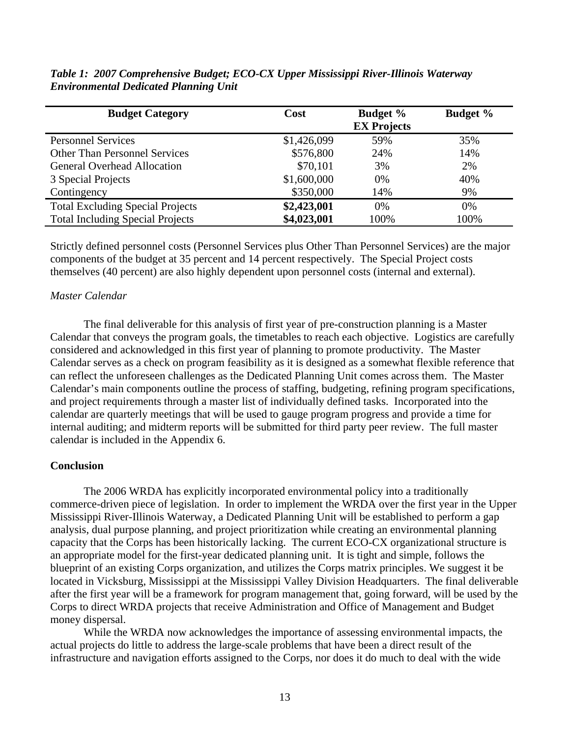| <b>Budget Category</b>                  | Cost        | <b>Budget %</b><br><b>EX Projects</b> | <b>Budget %</b> |
|-----------------------------------------|-------------|---------------------------------------|-----------------|
| <b>Personnel Services</b>               | \$1,426,099 | 59%                                   | 35%             |
| <b>Other Than Personnel Services</b>    | \$576,800   | 24%                                   | 14%             |
| <b>General Overhead Allocation</b>      | \$70,101    | 3%                                    | 2%              |
| 3 Special Projects                      | \$1,600,000 | 0%                                    | 40%             |
| Contingency                             | \$350,000   | 14%                                   | 9%              |
| <b>Total Excluding Special Projects</b> | \$2,423,001 | 0%                                    | 0%              |
| <b>Total Including Special Projects</b> | \$4,023,001 | 100%                                  | 100%            |

<span id="page-14-0"></span>*Table 1: 2007 Comprehensive Budget; ECO-CX Upper Mississippi River-Illinois Waterway Environmental Dedicated Planning Unit* 

Strictly defined personnel costs (Personnel Services plus Other Than Personnel Services) are the major components of the budget at 35 percent and 14 percent respectively. The Special Project costs themselves (40 percent) are also highly dependent upon personnel costs (internal and external).

# *Master Calendar*

The final deliverable for this analysis of first year of pre-construction planning is a Master Calendar that conveys the program goals, the timetables to reach each objective. Logistics are carefully considered and acknowledged in this first year of planning to promote productivity. The Master Calendar serves as a check on program feasibility as it is designed as a somewhat flexible reference that can reflect the unforeseen challenges as the Dedicated Planning Unit comes across them. The Master Calendar's main components outline the process of staffing, budgeting, refining program specifications, and project requirements through a master list of individually defined tasks. Incorporated into the calendar are quarterly meetings that will be used to gauge program progress and provide a time for internal auditing; and midterm reports will be submitted for third party peer review. The full master calendar is included in the Appendix 6.

# **Conclusion**

The 2006 WRDA has explicitly incorporated environmental policy into a traditionally commerce-driven piece of legislation. In order to implement the WRDA over the first year in the Upper Mississippi River-Illinois Waterway, a Dedicated Planning Unit will be established to perform a gap analysis, dual purpose planning, and project prioritization while creating an environmental planning capacity that the Corps has been historically lacking. The current ECO-CX organizational structure is an appropriate model for the first-year dedicated planning unit. It is tight and simple, follows the blueprint of an existing Corps organization, and utilizes the Corps matrix principles. We suggest it be located in Vicksburg, Mississippi at the Mississippi Valley Division Headquarters. The final deliverable after the first year will be a framework for program management that, going forward, will be used by the Corps to direct WRDA projects that receive Administration and Office of Management and Budget money dispersal.

While the WRDA now acknowledges the importance of assessing environmental impacts, the actual projects do little to address the large-scale problems that have been a direct result of the infrastructure and navigation efforts assigned to the Corps, nor does it do much to deal with the wide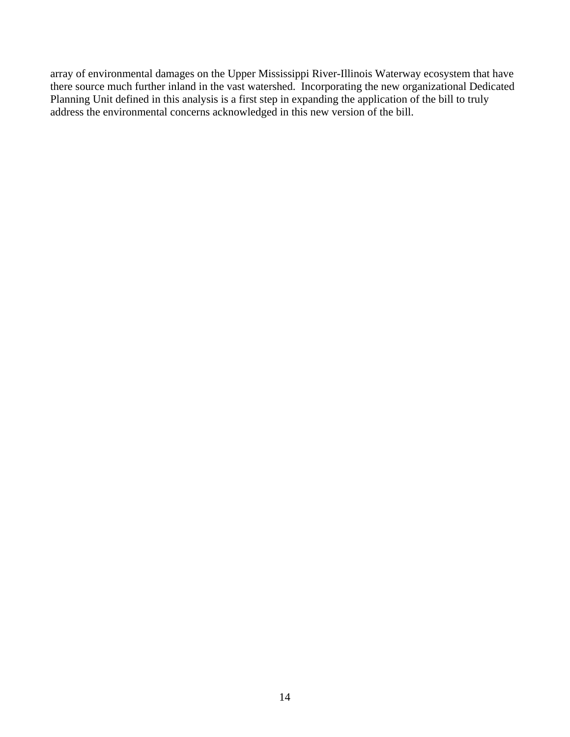array of environmental damages on the Upper Mississippi River-Illinois Waterway ecosystem that have there source much further inland in the vast watershed. Incorporating the new organizational Dedicated Planning Unit defined in this analysis is a first step in expanding the application of the bill to truly address the environmental concerns acknowledged in this new version of the bill.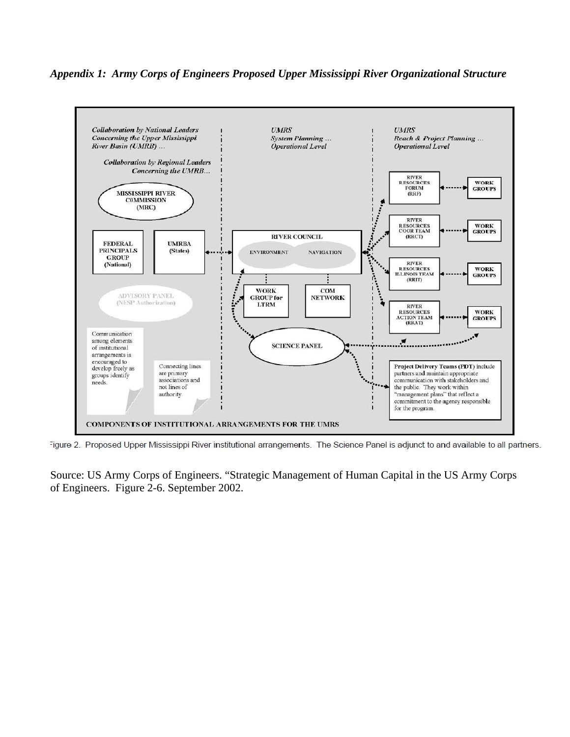# *Appendix 1: Army Corps of Engineers Proposed Upper Mississippi River Organizational Structure*



Figure 2. Proposed Upper Mississippi River institutional arrangements. The Science Panel is adjunct to and available to all partners.

Source: US Army Corps of Engineers. "Strategic Management of Human Capital in the US Army Corps of Engineers. Figure 2-6. September 2002.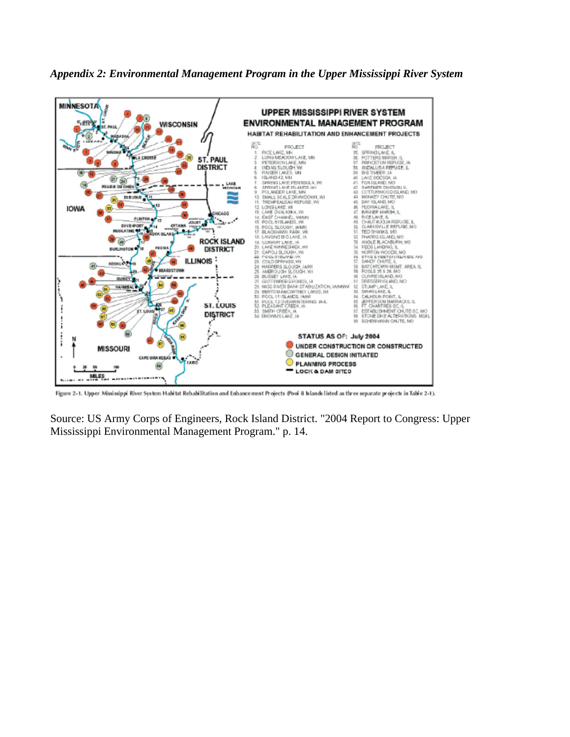



Figure 2-1. Upper Mississippi River System Habitat Rehabilitation and Enhancement Projects (Pool 8 Islands listed as three separate projects in Table 2-1).

Source: US Army Corps of Engineers, Rock Island District. "2004 Report to Congress: Upper Mississippi Environmental Management Program." p. 14.